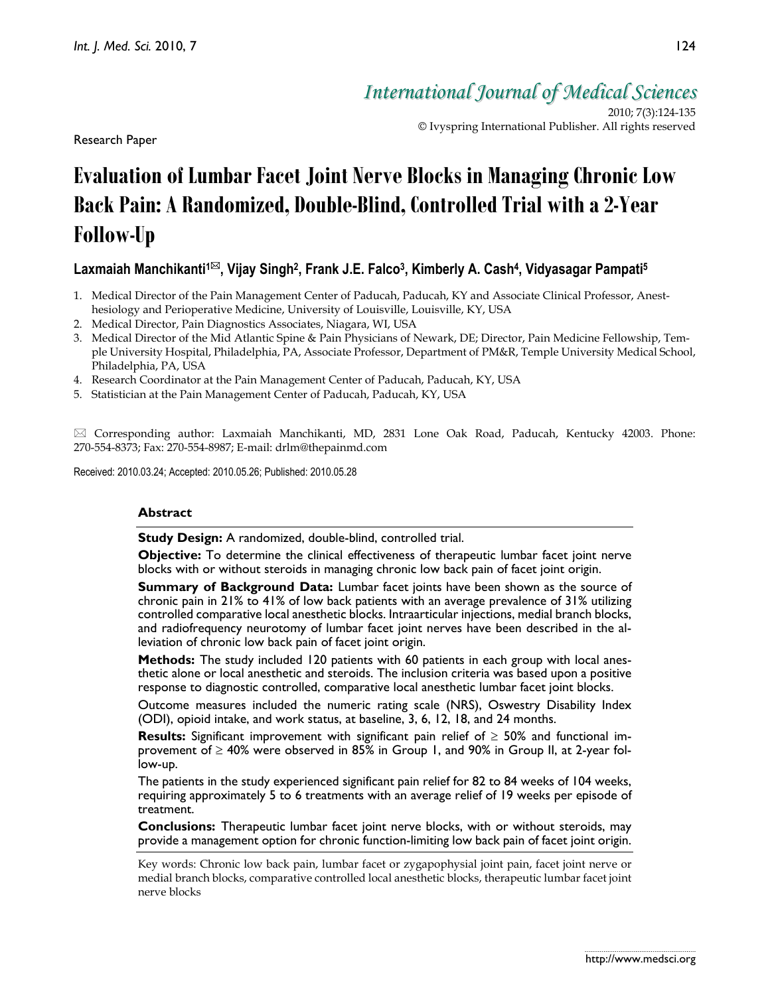Research Paper

*International Journal of Medical Sciences*

2010; 7(3):124-135 © Ivyspring International Publisher. All rights reserved

# **Evaluation of Lumbar Facet Joint Nerve Blocks in Managing Chronic Low Back Pain: A Randomized, Double-Blind, Controlled Trial with a 2-Year Follow-Up**

Laxmaiah Manchikanti<sup>1⊠</sup>, Vijay Singh<sup>2</sup>, Frank J.E. Falco<sup>3</sup>, Kimberly A. Cash<sup>4</sup>, Vidyasagar Pampati<sup>5</sup>

- 1. Medical Director of the Pain Management Center of Paducah, Paducah, KY and Associate Clinical Professor, Anesthesiology and Perioperative Medicine, University of Louisville, Louisville, KY, USA
- 2. Medical Director, Pain Diagnostics Associates, Niagara, WI, USA
- 3. Medical Director of the Mid Atlantic Spine & Pain Physicians of Newark, DE; Director, Pain Medicine Fellowship, Temple University Hospital, Philadelphia, PA, Associate Professor, Department of PM&R, Temple University Medical School, Philadelphia, PA, USA
- 4. Research Coordinator at the Pain Management Center of Paducah, Paducah, KY, USA
- 5. Statistician at the Pain Management Center of Paducah, Paducah, KY, USA

 $\boxtimes$  Corresponding author: Laxmaiah Manchikanti, MD, 2831 Lone Oak Road, Paducah, Kentucky 42003. Phone: 270-554-8373; Fax: 270-554-8987; E-mail: drlm@thepainmd.com

Received: 2010.03.24; Accepted: 2010.05.26; Published: 2010.05.28

# **Abstract**

**Study Design:** A randomized, double-blind, controlled trial.

**Objective:** To determine the clinical effectiveness of therapeutic lumbar facet joint nerve blocks with or without steroids in managing chronic low back pain of facet joint origin.

**Summary of Background Data:** Lumbar facet joints have been shown as the source of chronic pain in 21% to 41% of low back patients with an average prevalence of 31% utilizing controlled comparative local anesthetic blocks. Intraarticular injections, medial branch blocks, and radiofrequency neurotomy of lumbar facet joint nerves have been described in the alleviation of chronic low back pain of facet joint origin.

**Methods:** The study included 120 patients with 60 patients in each group with local anesthetic alone or local anesthetic and steroids. The inclusion criteria was based upon a positive response to diagnostic controlled, comparative local anesthetic lumbar facet joint blocks.

Outcome measures included the numeric rating scale (NRS), Oswestry Disability Index (ODI), opioid intake, and work status, at baseline, 3, 6, 12, 18, and 24 months.

**Results:** Significant improvement with significant pain relief of  $\geq$  50% and functional improvement of ≥ 40% were observed in 85% in Group 1, and 90% in Group II, at 2-year follow-up.

The patients in the study experienced significant pain relief for 82 to 84 weeks of 104 weeks, requiring approximately 5 to 6 treatments with an average relief of 19 weeks per episode of treatment.

**Conclusions:** Therapeutic lumbar facet joint nerve blocks, with or without steroids, may provide a management option for chronic function-limiting low back pain of facet joint origin.

Key words: Chronic low back pain, lumbar facet or zygapophysial joint pain, facet joint nerve or medial branch blocks, comparative controlled local anesthetic blocks, therapeutic lumbar facet joint nerve blocks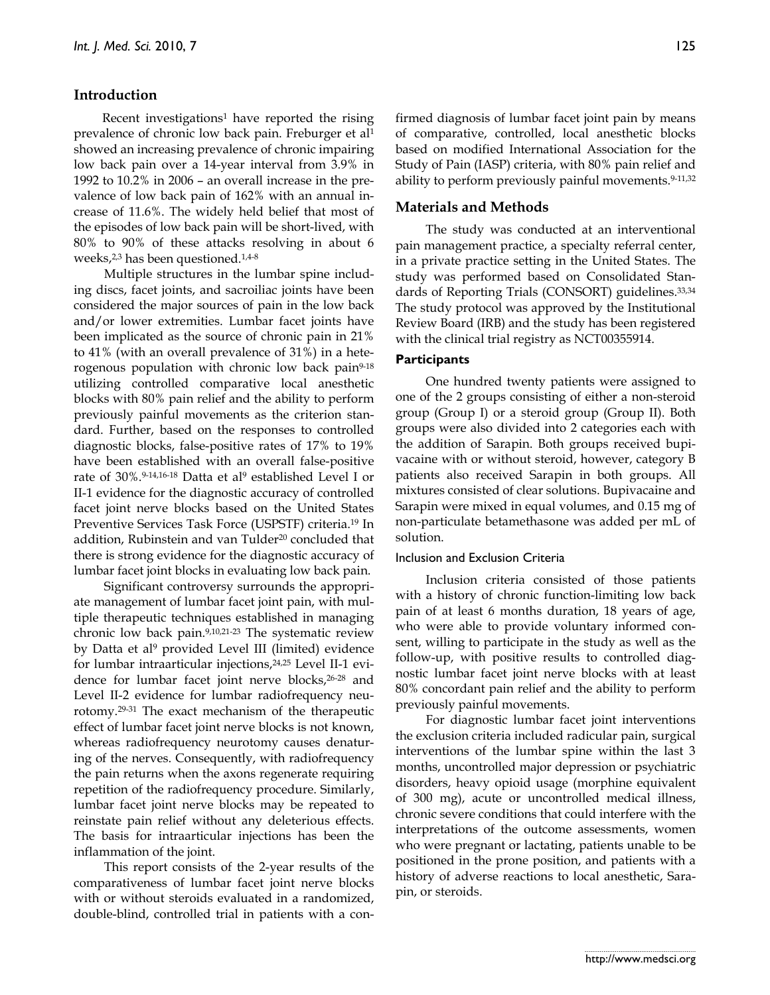# **Introduction**

Recent investigations<sup>1</sup> have reported the rising prevalence of chronic low back pain. Freburger et al1 showed an increasing prevalence of chronic impairing low back pain over a 14-year interval from 3.9% in 1992 to 10.2% in 2006 – an overall increase in the prevalence of low back pain of 162% with an annual increase of 11.6%. The widely held belief that most of the episodes of low back pain will be short-lived, with 80% to 90% of these attacks resolving in about 6 weeks, $2,3$  has been questioned.<sup>1,4-8</sup>

 Multiple structures in the lumbar spine including discs, facet joints, and sacroiliac joints have been considered the major sources of pain in the low back and/or lower extremities. Lumbar facet joints have been implicated as the source of chronic pain in 21% to 41% (with an overall prevalence of 31%) in a heterogenous population with chronic low back pain<sup>9-18</sup> utilizing controlled comparative local anesthetic blocks with 80% pain relief and the ability to perform previously painful movements as the criterion standard. Further, based on the responses to controlled diagnostic blocks, false-positive rates of 17% to 19% have been established with an overall false-positive rate of 30%.9-14,16-18 Datta et al9 established Level I or II-1 evidence for the diagnostic accuracy of controlled facet joint nerve blocks based on the United States Preventive Services Task Force (USPSTF) criteria.19 In addition, Rubinstein and van Tulder<sup>20</sup> concluded that there is strong evidence for the diagnostic accuracy of lumbar facet joint blocks in evaluating low back pain.

 Significant controversy surrounds the appropriate management of lumbar facet joint pain, with multiple therapeutic techniques established in managing chronic low back pain.9,10,21-23 The systematic review by Datta et al<sup>9</sup> provided Level III (limited) evidence for lumbar intraarticular injections,24,25 Level II-1 evidence for lumbar facet joint nerve blocks,26-28 and Level II-2 evidence for lumbar radiofrequency neurotomy.29-31 The exact mechanism of the therapeutic effect of lumbar facet joint nerve blocks is not known, whereas radiofrequency neurotomy causes denaturing of the nerves. Consequently, with radiofrequency the pain returns when the axons regenerate requiring repetition of the radiofrequency procedure. Similarly, lumbar facet joint nerve blocks may be repeated to reinstate pain relief without any deleterious effects. The basis for intraarticular injections has been the inflammation of the joint.

 This report consists of the 2-year results of the comparativeness of lumbar facet joint nerve blocks with or without steroids evaluated in a randomized, double-blind, controlled trial in patients with a confirmed diagnosis of lumbar facet joint pain by means of comparative, controlled, local anesthetic blocks based on modified International Association for the Study of Pain (IASP) criteria, with 80% pain relief and ability to perform previously painful movements.<sup>9-11,32</sup>

# **Materials and Methods**

 The study was conducted at an interventional pain management practice, a specialty referral center, in a private practice setting in the United States. The study was performed based on Consolidated Standards of Reporting Trials (CONSORT) guidelines.33,34 The study protocol was approved by the Institutional Review Board (IRB) and the study has been registered with the clinical trial registry as NCT00355914.

## **Participants**

 One hundred twenty patients were assigned to one of the 2 groups consisting of either a non-steroid group (Group I) or a steroid group (Group II). Both groups were also divided into 2 categories each with the addition of Sarapin. Both groups received bupivacaine with or without steroid, however, category B patients also received Sarapin in both groups. All mixtures consisted of clear solutions. Bupivacaine and Sarapin were mixed in equal volumes, and 0.15 mg of non-particulate betamethasone was added per mL of solution.

## Inclusion and Exclusion Criteria

 Inclusion criteria consisted of those patients with a history of chronic function-limiting low back pain of at least 6 months duration, 18 years of age, who were able to provide voluntary informed consent, willing to participate in the study as well as the follow-up, with positive results to controlled diagnostic lumbar facet joint nerve blocks with at least 80% concordant pain relief and the ability to perform previously painful movements.

 For diagnostic lumbar facet joint interventions the exclusion criteria included radicular pain, surgical interventions of the lumbar spine within the last 3 months, uncontrolled major depression or psychiatric disorders, heavy opioid usage (morphine equivalent of 300 mg), acute or uncontrolled medical illness, chronic severe conditions that could interfere with the interpretations of the outcome assessments, women who were pregnant or lactating, patients unable to be positioned in the prone position, and patients with a history of adverse reactions to local anesthetic, Sarapin, or steroids.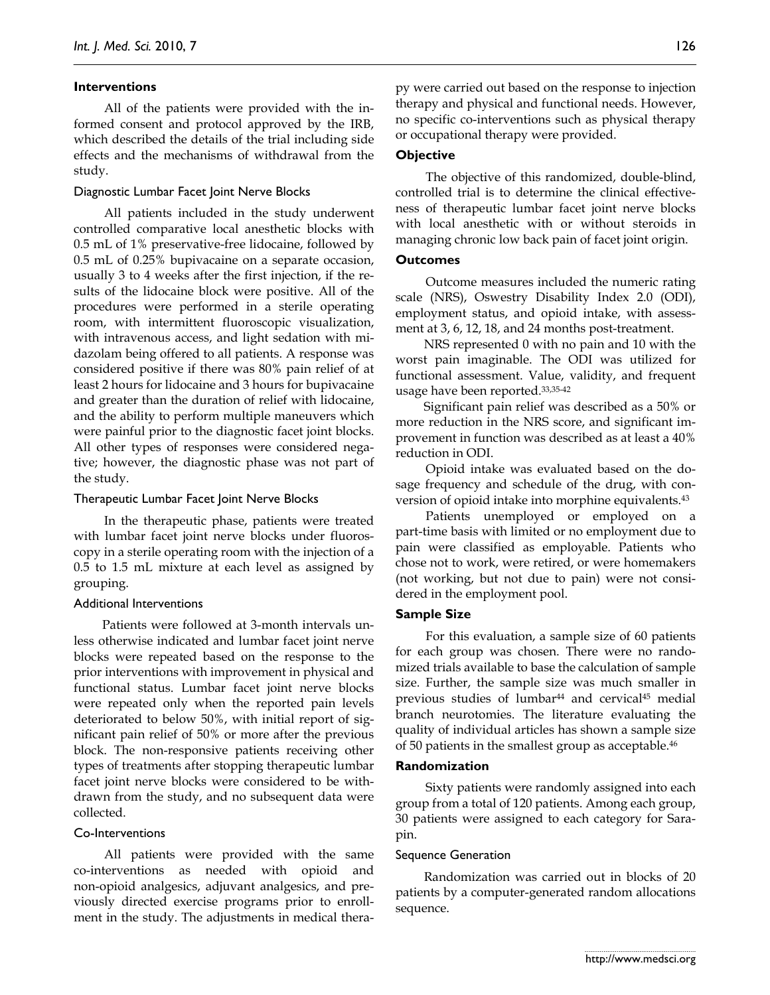## **Interventions**

 All of the patients were provided with the informed consent and protocol approved by the IRB, which described the details of the trial including side effects and the mechanisms of withdrawal from the study.

## Diagnostic Lumbar Facet Joint Nerve Blocks

 All patients included in the study underwent controlled comparative local anesthetic blocks with 0.5 mL of 1% preservative-free lidocaine, followed by 0.5 mL of 0.25% bupivacaine on a separate occasion, usually 3 to 4 weeks after the first injection, if the results of the lidocaine block were positive. All of the procedures were performed in a sterile operating room, with intermittent fluoroscopic visualization, with intravenous access, and light sedation with midazolam being offered to all patients. A response was considered positive if there was 80% pain relief of at least 2 hours for lidocaine and 3 hours for bupivacaine and greater than the duration of relief with lidocaine, and the ability to perform multiple maneuvers which were painful prior to the diagnostic facet joint blocks. All other types of responses were considered negative; however, the diagnostic phase was not part of the study.

### Therapeutic Lumbar Facet Joint Nerve Blocks

 In the therapeutic phase, patients were treated with lumbar facet joint nerve blocks under fluoroscopy in a sterile operating room with the injection of a 0.5 to 1.5 mL mixture at each level as assigned by grouping.

## Additional Interventions

Patients were followed at 3-month intervals unless otherwise indicated and lumbar facet joint nerve blocks were repeated based on the response to the prior interventions with improvement in physical and functional status. Lumbar facet joint nerve blocks were repeated only when the reported pain levels deteriorated to below 50%, with initial report of significant pain relief of 50% or more after the previous block. The non-responsive patients receiving other types of treatments after stopping therapeutic lumbar facet joint nerve blocks were considered to be withdrawn from the study, and no subsequent data were collected.

## Co-Interventions

 All patients were provided with the same co-interventions as needed with opioid and non-opioid analgesics, adjuvant analgesics, and previously directed exercise programs prior to enrollment in the study. The adjustments in medical therapy were carried out based on the response to injection therapy and physical and functional needs. However, no specific co-interventions such as physical therapy or occupational therapy were provided.

## **Objective**

The objective of this randomized, double-blind, controlled trial is to determine the clinical effectiveness of therapeutic lumbar facet joint nerve blocks with local anesthetic with or without steroids in managing chronic low back pain of facet joint origin.

## **Outcomes**

 Outcome measures included the numeric rating scale (NRS), Oswestry Disability Index 2.0 (ODI), employment status, and opioid intake, with assessment at 3, 6, 12, 18, and 24 months post-treatment.

NRS represented 0 with no pain and 10 with the worst pain imaginable. The ODI was utilized for functional assessment. Value, validity, and frequent usage have been reported.33,35-42

Significant pain relief was described as a 50% or more reduction in the NRS score, and significant improvement in function was described as at least a 40% reduction in ODI.

 Opioid intake was evaluated based on the dosage frequency and schedule of the drug, with conversion of opioid intake into morphine equivalents.43

 Patients unemployed or employed on a part-time basis with limited or no employment due to pain were classified as employable. Patients who chose not to work, were retired, or were homemakers (not working, but not due to pain) were not considered in the employment pool.

## **Sample Size**

For this evaluation, a sample size of 60 patients for each group was chosen. There were no randomized trials available to base the calculation of sample size. Further, the sample size was much smaller in previous studies of lumbar<sup>44</sup> and cervical<sup>45</sup> medial branch neurotomies. The literature evaluating the quality of individual articles has shown a sample size of 50 patients in the smallest group as acceptable.46

#### **Randomization**

 Sixty patients were randomly assigned into each group from a total of 120 patients. Among each group, 30 patients were assigned to each category for Sarapin.

## Sequence Generation

Randomization was carried out in blocks of 20 patients by a computer-generated random allocations sequence.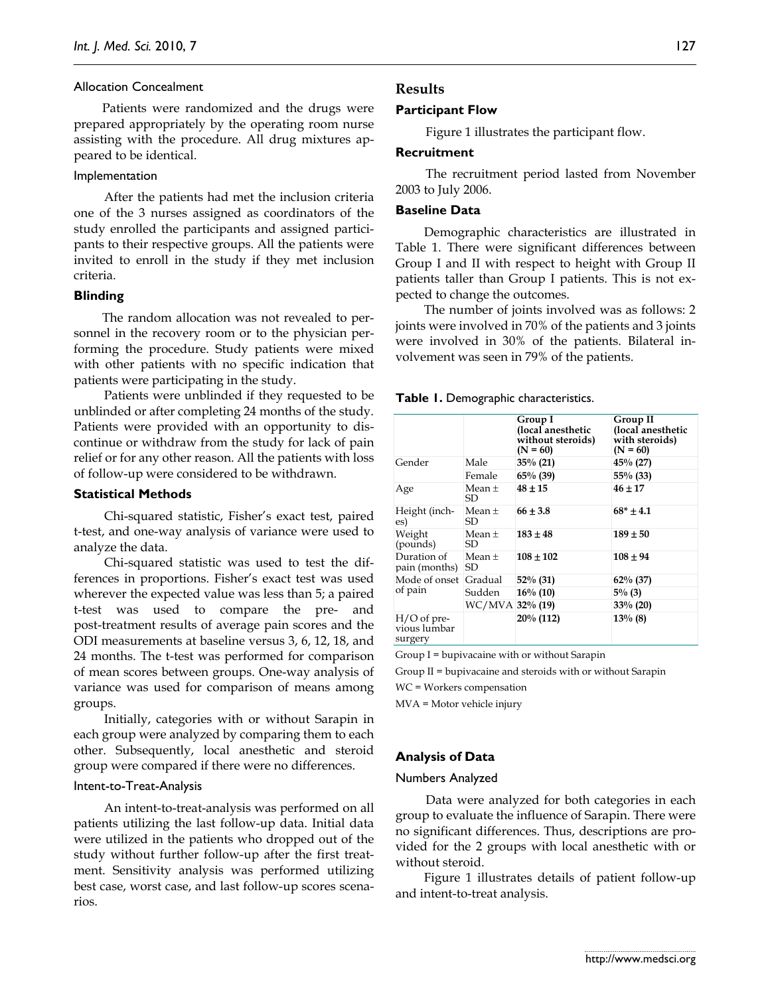# Allocation Concealment

Patients were randomized and the drugs were prepared appropriately by the operating room nurse assisting with the procedure. All drug mixtures appeared to be identical.

# Implementation

 After the patients had met the inclusion criteria one of the 3 nurses assigned as coordinators of the study enrolled the participants and assigned participants to their respective groups. All the patients were invited to enroll in the study if they met inclusion criteria.

# **Blinding**

The random allocation was not revealed to personnel in the recovery room or to the physician performing the procedure. Study patients were mixed with other patients with no specific indication that patients were participating in the study.

 Patients were unblinded if they requested to be unblinded or after completing 24 months of the study. Patients were provided with an opportunity to discontinue or withdraw from the study for lack of pain relief or for any other reason. All the patients with loss of follow-up were considered to be withdrawn.

# **Statistical Methods**

 Chi-squared statistic, Fisher's exact test, paired t-test, and one-way analysis of variance were used to analyze the data.

 Chi-squared statistic was used to test the differences in proportions. Fisher's exact test was used wherever the expected value was less than 5; a paired t-test was used to compare the pre- and post-treatment results of average pain scores and the ODI measurements at baseline versus 3, 6, 12, 18, and 24 months. The t-test was performed for comparison of mean scores between groups. One-way analysis of variance was used for comparison of means among groups.

 Initially, categories with or without Sarapin in each group were analyzed by comparing them to each other. Subsequently, local anesthetic and steroid group were compared if there were no differences.

# Intent-to-Treat-Analysis

 An intent-to-treat-analysis was performed on all patients utilizing the last follow-up data. Initial data were utilized in the patients who dropped out of the study without further follow-up after the first treatment. Sensitivity analysis was performed utilizing best case, worst case, and last follow-up scores scenarios.

# **Results**

# **Participant Flow**

Figure 1 illustrates the participant flow.

# **Recruitment**

 The recruitment period lasted from November 2003 to July 2006.

# **Baseline Data**

Demographic characteristics are illustrated in Table 1. There were significant differences between Group I and II with respect to height with Group II patients taller than Group I patients. This is not expected to change the outcomes.

The number of joints involved was as follows: 2 joints were involved in 70% of the patients and 3 joints were involved in 30% of the patients. Bilateral involvement was seen in 79% of the patients.

## **Table 1.** Demographic characteristics.

|                                          |                  | Group I<br>(local anesthetic<br>without steroids)<br>$(N = 60)$ | Group II<br>(local anesthetic<br>with steroids)<br>$(N = 60)$ |
|------------------------------------------|------------------|-----------------------------------------------------------------|---------------------------------------------------------------|
| Gender                                   | Male             | $35\%$ (21)                                                     | 45% (27)                                                      |
|                                          | Female           | 65% (39)                                                        | 55% (33)                                                      |
| Age                                      | Mean +<br>SD     | $48 \pm 15$                                                     | $46 \pm 17$                                                   |
| Height (inch-<br>es)                     | Mean $\pm$<br>SD | $66 \pm 3.8$                                                    | $68^*$ ± 4.1                                                  |
| Weight<br>(pounds)                       | Mean $\pm$<br>SD | $183 \pm 48$                                                    | $189 \pm 50$                                                  |
| Duration of<br>pain (months)             | Mean $\pm$<br>SD | $108 \pm 102$                                                   | $108 \pm 94$                                                  |
| Mode of onset                            | Gradual          | $52\%$ (31)                                                     | $62\%$ (37)                                                   |
| of pain                                  | Sudden           | $16\%$ (10)                                                     | $5\%$ (3)                                                     |
|                                          | WC/MVA 32% (19)  |                                                                 | $33\%$ (20)                                                   |
| $H/O$ of pre-<br>vious lumbar<br>surgery |                  | 20% (112)                                                       | $13\%$ (8)                                                    |

Group I = bupivacaine with or without Sarapin

Group II = bupivacaine and steroids with or without Sarapin

WC = Workers compensation

MVA = Motor vehicle injury

# **Analysis of Data**

# Numbers Analyzed

Data were analyzed for both categories in each group to evaluate the influence of Sarapin. There were no significant differences. Thus, descriptions are provided for the 2 groups with local anesthetic with or without steroid.

Figure 1 illustrates details of patient follow-up and intent-to-treat analysis.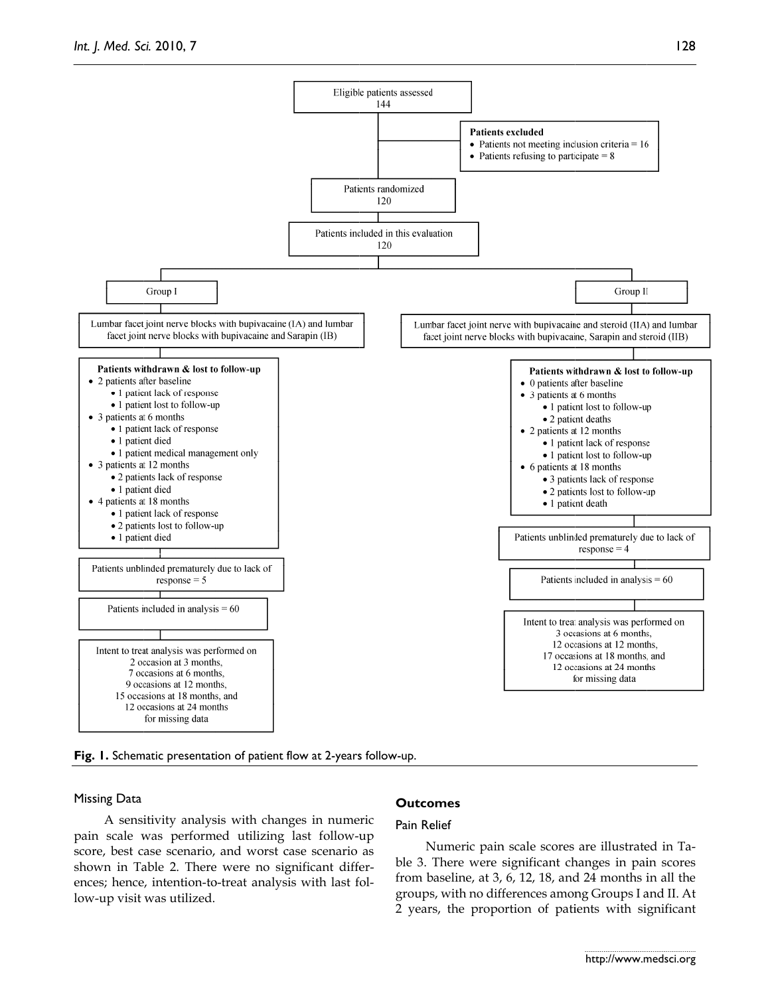

Fig. 1. Schematic presentation of patient flow at 2-years follow-up.

# Missing Data

A sensitivity analysis with changes in numeric pain scale was performed utilizing last follow-up score, best case scenario, and worst case scenario as shown in Table 2. There were no significant differences; hence, intention-to-treat analysis with last follow-up visit was utilized.

# **Outco omes**

## Pain Relief

Numeric pain scale scores are illustrated in Table 3. There were significant changes in pain scores from baseline, at 3, 6, 12, 18, and 24 months in all the groups s, with no diff ferences amon ng Groups I a and II. At 2 years, the proportion of patients with significant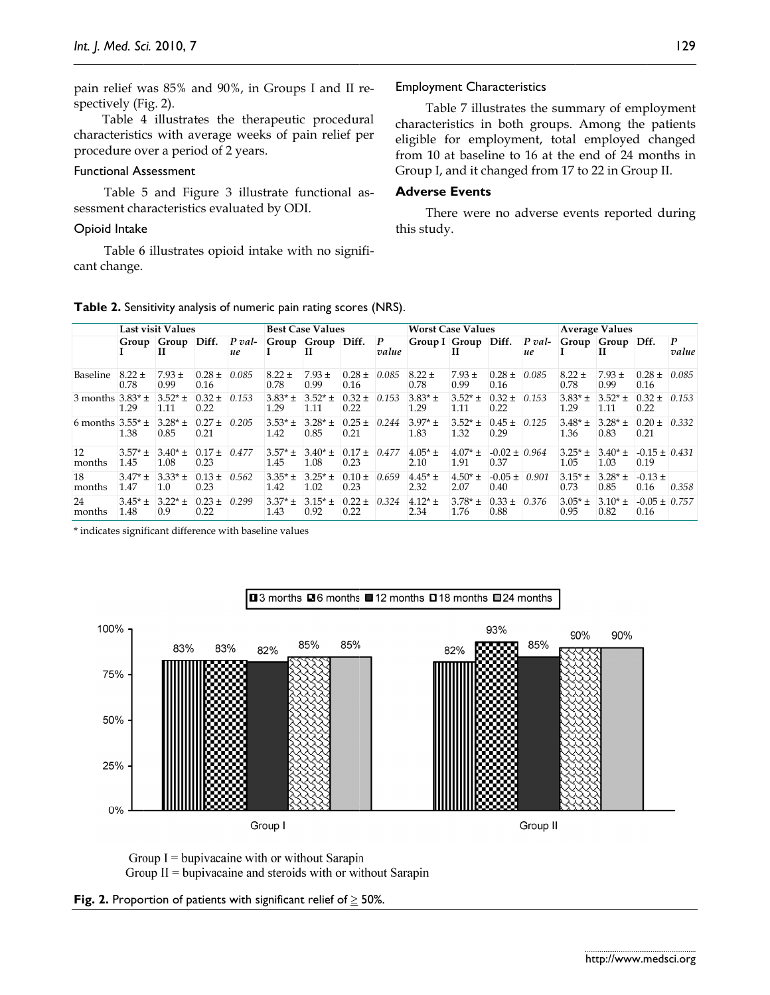pain relief was 85% and 90%, in Groups I and II respectively (Fig. 2).

Table 4 illustrates the therapeutic procedural characteristics with average weeks of pain relief per procedure over a period of 2 years.

## **Functional Assessment**

Table 5 and Figure 3 illustrate functional assessment characteristics evaluated by ODI.

# Opioid Intake

Table 6 illustrates opioid intake with no significant change.

## **Employment Characteristics**

Table 7 illustrates the summary of employment characteristics in both groups. Among the patients eligible for employment, total employed changed from 10 at baseline to 16 at the end of 24 months in Group I, and it changed from 17 to 22 in Group II.

# **Adverse Events**

There were no adverse events reported during this study.

| Table 2. Sensitivity analysis of numeric pain rating scores (NRS). |  |  |  |  |  |  |
|--------------------------------------------------------------------|--|--|--|--|--|--|
|--------------------------------------------------------------------|--|--|--|--|--|--|

|                    | Last visit Values  |                        |                    |                | <b>Best Case Values</b> |                        |                    | <b>Worst Case Values</b> |                         |                    | <b>Average Values</b>     |                |                    |                       |                           |                           |
|--------------------|--------------------|------------------------|--------------------|----------------|-------------------------|------------------------|--------------------|--------------------------|-------------------------|--------------------|---------------------------|----------------|--------------------|-----------------------|---------------------------|---------------------------|
|                    |                    | Group Group Diff.<br>п |                    | $P val-$<br>ue |                         | Group Group Diff.<br>П |                    | $\mathbf{P}$<br>value    | Group I   Group   Diff. | п                  |                           | $P$ val-<br>ue |                    | Group Group Dff.<br>П |                           | $\boldsymbol{P}$<br>value |
| Baseline           | $8.22 \pm$<br>0.78 | $7.93 \pm$<br>0.99     | $0.28 \pm$<br>0.16 | 0.085          | $8.22 +$<br>0.78        | $7.93 \pm$<br>0.99     | $0.28 \pm$<br>0.16 | 0.085                    | $8.22 \pm$<br>0.78      | $7.93 \pm$<br>0.99 | $0.28 \pm$<br>0.16        | 0.085          | $8.22 \pm$<br>0.78 | $7.93 \pm$<br>0.99    | $0.28 \pm$<br>0.16        | 0.085                     |
| 3 months $3.83*$ ± | 1.29               | $3.52*$ ±<br>1.11      | $0.32 \pm$<br>0.22 | 0.153          | $3.83*$ ±<br>1.29       | $3.52*$ ±<br>1.11      | $0.32 \pm$<br>0.22 | 0.153                    | $3.83*$ ±<br>1.29       | $3.52*$ ±<br>1.11  | $0.32 \pm$<br>0.22        | 0.153          | $3.83*$ ±<br>1.29  | $3.52*$ ±<br>1.11     | $0.32 \pm$<br>0.22        | 0.153                     |
| 6 months $3.55*$ ± | 1.38               | $3.28*$ ±<br>0.85      | $0.27 \pm$<br>0.21 | 0.205          | $3.53*$ ±<br>1.42       | $3.28*$ ±<br>0.85      | $0.25 \pm$<br>0.21 | 0.244                    | $3.97*$ ±<br>1.83       | $3.52*$ ±<br>1.32  | $0.45 \pm$<br>0.29        | 0.125          | $3.48*$ ±<br>1.36  | $3.28*$ ±<br>0.83     | $0.20 \pm$<br>0.21        | 0.332                     |
| 12<br>months       | $3.57* +$<br>1.45  | $3.40*$ ±<br>1.08      | $0.17 \pm$<br>0.23 | 0.477          | $3.57*$ ±<br>1.45       | $3.40*$ ±<br>1.08      | $0.17 \pm$<br>0.23 | 0.477                    | $4.05*$ ±<br>2.10       | $4.07*$ ±<br>1.91  | $-0.02 \pm 0.964$<br>0.37 |                | $3.25*$ ±<br>1.05  | $3.40*$ ±<br>1.03     | $-0.15 \pm 0.431$<br>0.19 |                           |
| 18<br>months       | $3.47*$ ±<br>1.47  | $3.33*$ ±<br>1.0       | $0.13 \pm$<br>0.23 | 0.562          | $3.35*$ ±<br>1.42       | $3.25*$ ±<br>1.02      | $0.10 \pm$<br>0.23 | 0.659                    | $4.45*$ ±<br>2.32       | $4.50*$ ±<br>2.07  | $-0.05 \pm$<br>0.40       | 0.901          | $3.15*$ ±<br>0.73  | $3.28*$ ±<br>0.85     | $-0.13 \pm$<br>0.16       | 0.358                     |
| 24<br>months       | $3.45*$ ±<br>1.48  | $3.22*$ ±<br>0.9       | $0.23 \pm$<br>0.22 | 0.299          | $3.37*$ ±<br>1.43       | $3.15*$ ±<br>0.92      | $0.22 \pm$<br>0.22 | 0.324                    | $4.12*$ ±<br>2.34       | $3.78*$ ±<br>1.76  | $0.33 \pm$<br>0.88        | 0.376          | $3.05*$ ±<br>0.95  | $3.10*$ ±<br>0.82     | $-0.05 \pm 0.757$<br>0.16 |                           |

\* indicates significant difference with baseline values



Group  $I =$  bupivacaine with or without Sarapin Group  $II =$  bupivacaine and steroids with or without Sarapin

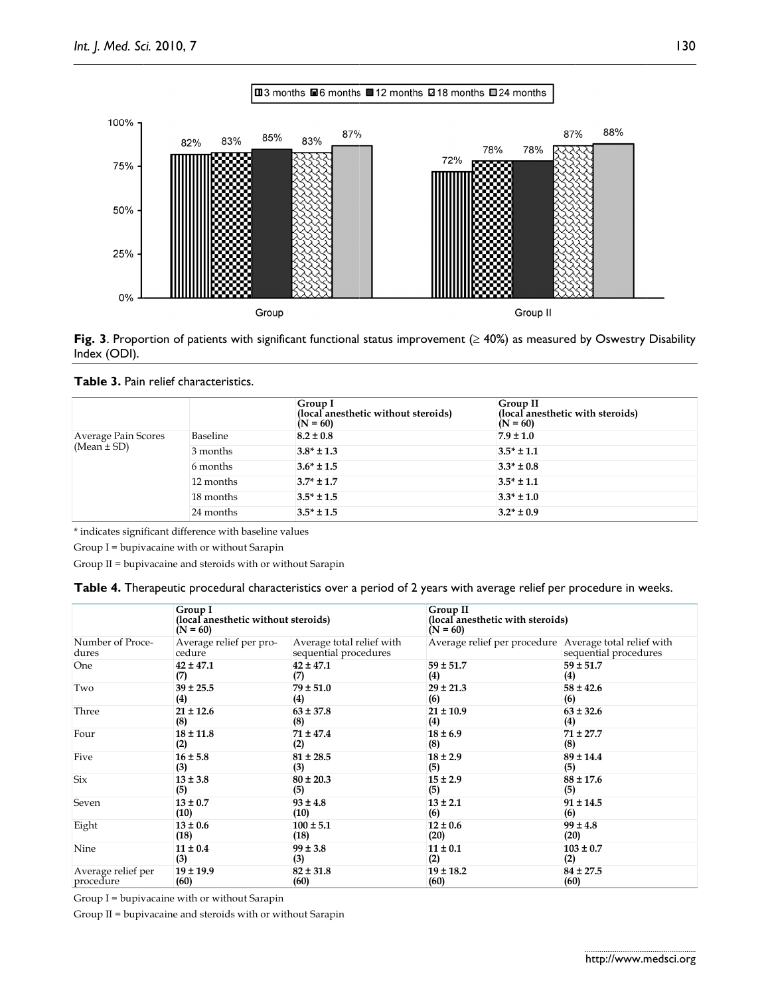

Fig. 3. Proportion of patients with significant functional status improvement ( $\geq$  40%) as measured by Oswestry Disability Index (ODI).

|                                        |           | Group I<br>(local anesthetic without steroids)<br>$(N = 60)$ | Group II<br>(local anesthetic with steroids)<br>$(N = 60)$ |
|----------------------------------------|-----------|--------------------------------------------------------------|------------------------------------------------------------|
| Average Pain Scores<br>$(Mean \pm SD)$ | Baseline  | $8.2 \pm 0.8$                                                | $7.9 \pm 1.0$                                              |
|                                        | 3 months  | $3.8^* \pm 1.3$                                              | $3.5*$ ± 1.1                                               |
|                                        | 6 months  | $3.6* \pm 1.5$                                               | $3.3^* \pm 0.8$                                            |
|                                        | 12 months | $3.7^* \pm 1.7$                                              | $3.5^* \pm 1.1$                                            |
|                                        | 18 months | $3.5^* \pm 1.5$                                              | $3.3^* \pm 1.0$                                            |
|                                        | 24 months | $3.5^* \pm 1.5$                                              | $3.2^* \pm 0.9$                                            |

| <b>Table 3. Pain relief characteristics.</b> |
|----------------------------------------------|
|----------------------------------------------|

\* indicates significant difference with baseline values

Group I = bupivacaine with or without Sarapin

Group II = bupivacaine and steroids with or without Sarapin

|  |  |  |  | Table 4. Therapeutic procedural characteristics over a period of 2 years with average relief per procedure in weeks |
|--|--|--|--|---------------------------------------------------------------------------------------------------------------------|
|  |  |  |  |                                                                                                                     |

|                           | Group I<br>(local anesthetic without steroids)<br>$(N = 60)$ |                                                    | Group II<br>(local anesthetic with steroids)<br>$(N = 60)$ |                       |  |  |  |
|---------------------------|--------------------------------------------------------------|----------------------------------------------------|------------------------------------------------------------|-----------------------|--|--|--|
| Number of Proce-<br>dures | Average relief per pro-<br>cedure                            | Average total relief with<br>sequential procedures | Average relief per procedure Average total relief with     | sequential procedures |  |  |  |
| One                       | $42 \pm 47.1$                                                | $42 \pm 47.1$                                      | $59 \pm 51.7$                                              | $59 \pm 51.7$         |  |  |  |
|                           | (7)                                                          | (7)                                                | (4)                                                        | (4)                   |  |  |  |
| Two                       | $39 \pm 25.5$                                                | $79 \pm 51.0$                                      | $29 \pm 21.3$                                              | $58 \pm 42.6$         |  |  |  |
|                           | (4)                                                          | (4)                                                | (6)                                                        | (6)                   |  |  |  |
| Three                     | $21 \pm 12.6$                                                | $63 \pm 37.8$                                      | $21 \pm 10.9$                                              | $63 \pm 32.6$         |  |  |  |
|                           | (8)                                                          | (8)                                                | (4)                                                        | (4)                   |  |  |  |
| Four                      | $18 \pm 11.8$                                                | $71 \pm 47.4$                                      | $18 \pm 6.9$                                               | $71 \pm 27.7$         |  |  |  |
|                           | (2)                                                          | (2)                                                | (8)                                                        | (8)                   |  |  |  |
| Five                      | $16 \pm 5.8$                                                 | $81 \pm 28.5$                                      | $18 \pm 2.9$                                               | $89 \pm 14.4$         |  |  |  |
|                           | (3)                                                          | (3)                                                | (5)                                                        | (5)                   |  |  |  |
| Six                       | $13 \pm 3.8$                                                 | $80 \pm 20.3$                                      | $15 \pm 2.9$                                               | $88 \pm 17.6$         |  |  |  |
|                           | (5)                                                          | (5)                                                | (5)                                                        | (5)                   |  |  |  |
| Seven                     | $13 \pm 0.7$                                                 | $93 \pm 4.8$                                       | $13 \pm 2.1$                                               | $91 \pm 14.5$         |  |  |  |
|                           | (10)                                                         | (10)                                               | (6)                                                        | (6)                   |  |  |  |
| Eight                     | $13 \pm 0.6$                                                 | $100 \pm 5.1$                                      | $12 \pm 0.6$                                               | $99 \pm 4.8$          |  |  |  |
|                           | (18)                                                         | (18)                                               | (20)                                                       | (20)                  |  |  |  |
| Nine                      | $11 \pm 0.4$                                                 | $99 \pm 3.8$                                       | $11 \pm 0.1$                                               | $103 \pm 0.7$         |  |  |  |
|                           | (3)                                                          | (3)                                                | (2)                                                        | (2)                   |  |  |  |
| Average relief per        | $19 \pm 19.9$                                                | $82 \pm 31.8$                                      | $19 \pm 18.2$                                              | $84 \pm 27.5$         |  |  |  |
| procedure                 | (60)                                                         | (60)                                               | (60)                                                       | (60)                  |  |  |  |

Group I = bupivacaine with or without Sarapin

Group II = bupivacaine and steroids with or without Sarapin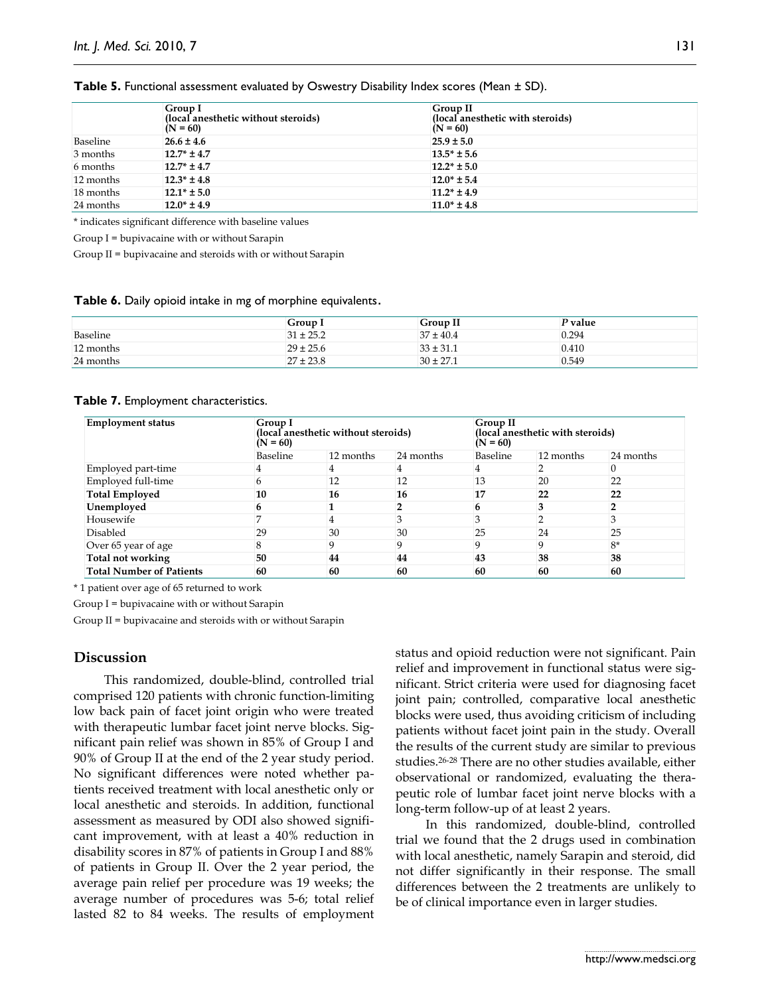|           | Group I<br>(local anesthetic without steroids)<br>$(N = 60)$ | Group II<br>(local anesthetic with steroids)<br>$(N = 60)$ |
|-----------|--------------------------------------------------------------|------------------------------------------------------------|
| Baseline  | $26.6 \pm 4.6$                                               | $25.9 \pm 5.0$                                             |
| 3 months  | $12.7^* \pm 4.7$                                             | $13.5* \pm 5.6$                                            |
| 6 months  | $12.7^* \pm 4.7$                                             | $12.2* \pm 5.0$                                            |
| 12 months | $12.3^* \pm 4.8$                                             | $12.0^* \pm 5.4$                                           |
| 18 months | $12.1* \pm 5.0$                                              | $11.2* \pm 4.9$                                            |
| 24 months | $12.0^* \pm 4.9$                                             | $11.0* \pm 4.8$                                            |

**Table 5.** Functional assessment evaluated by Oswestry Disability Index scores (Mean ± SD).

\* indicates significant difference with baseline values

Group I = bupivacaine with or without Sarapin

Group II = bupivacaine and steroids with or without Sarapin

**Table 6.** Daily opioid intake in mg of morphine equivalents.

|           | Group I       | Group II      | P value |
|-----------|---------------|---------------|---------|
| Baseline  | $31 \pm 25.2$ | $37 \pm 40.4$ | 0.294   |
| 12 months | $29 \pm 25.6$ | $33 \pm 31.1$ | 0.410   |
| 24 months | $27 \pm 23.8$ | $30 \pm 27.1$ | 0.549   |

**Table 7.** Employment characteristics.

| <b>Employment status</b>        | Group I<br>$(N = 60)$ | (local anesthetic without steroids) |           | <b>Group II</b><br>(local anesthetic with steroids)<br>$(N = 60)$ |             |           |
|---------------------------------|-----------------------|-------------------------------------|-----------|-------------------------------------------------------------------|-------------|-----------|
|                                 | <b>Baseline</b>       | 12 months                           | 24 months | <b>Baseline</b>                                                   | $12$ months | 24 months |
| Employed part-time              |                       |                                     | 4         | 4                                                                 |             |           |
| Employed full-time              |                       | 12                                  | 12        | 13                                                                | 20          | 22        |
| <b>Total Employed</b>           | 10                    | 16                                  | 16        | 17                                                                | 22          | 22        |
| Unemployed                      |                       |                                     |           |                                                                   |             |           |
| Housewife                       |                       |                                     |           |                                                                   |             |           |
| <b>Disabled</b>                 | 29                    | 30                                  | 30        | 25                                                                | 24          | 25        |
| Over 65 year of age             | 8                     | a                                   | Q         |                                                                   |             | $8*$      |
| Total not working               | 50                    | 44                                  | 44        | 43                                                                | 38          | 38        |
| <b>Total Number of Patients</b> | 60                    | 60                                  | 60        | 60                                                                | 60          | 60        |

\* 1 patient over age of 65 returned to work

Group I = bupivacaine with or without Sarapin

Group II = bupivacaine and steroids with or without Sarapin

# **Discussion**

 This randomized, double-blind, controlled trial comprised 120 patients with chronic function-limiting low back pain of facet joint origin who were treated with therapeutic lumbar facet joint nerve blocks. Significant pain relief was shown in 85% of Group I and 90% of Group II at the end of the 2 year study period. No significant differences were noted whether patients received treatment with local anesthetic only or local anesthetic and steroids. In addition, functional assessment as measured by ODI also showed significant improvement, with at least a 40% reduction in disability scores in 87% of patients in Group I and 88% of patients in Group II. Over the 2 year period, the average pain relief per procedure was 19 weeks; the average number of procedures was 5-6; total relief lasted 82 to 84 weeks. The results of employment

status and opioid reduction were not significant. Pain relief and improvement in functional status were significant. Strict criteria were used for diagnosing facet joint pain; controlled, comparative local anesthetic blocks were used, thus avoiding criticism of including patients without facet joint pain in the study. Overall the results of the current study are similar to previous studies.26-28 There are no other studies available, either observational or randomized, evaluating the therapeutic role of lumbar facet joint nerve blocks with a long-term follow-up of at least 2 years.

 In this randomized, double-blind, controlled trial we found that the 2 drugs used in combination with local anesthetic, namely Sarapin and steroid, did not differ significantly in their response. The small differences between the 2 treatments are unlikely to be of clinical importance even in larger studies.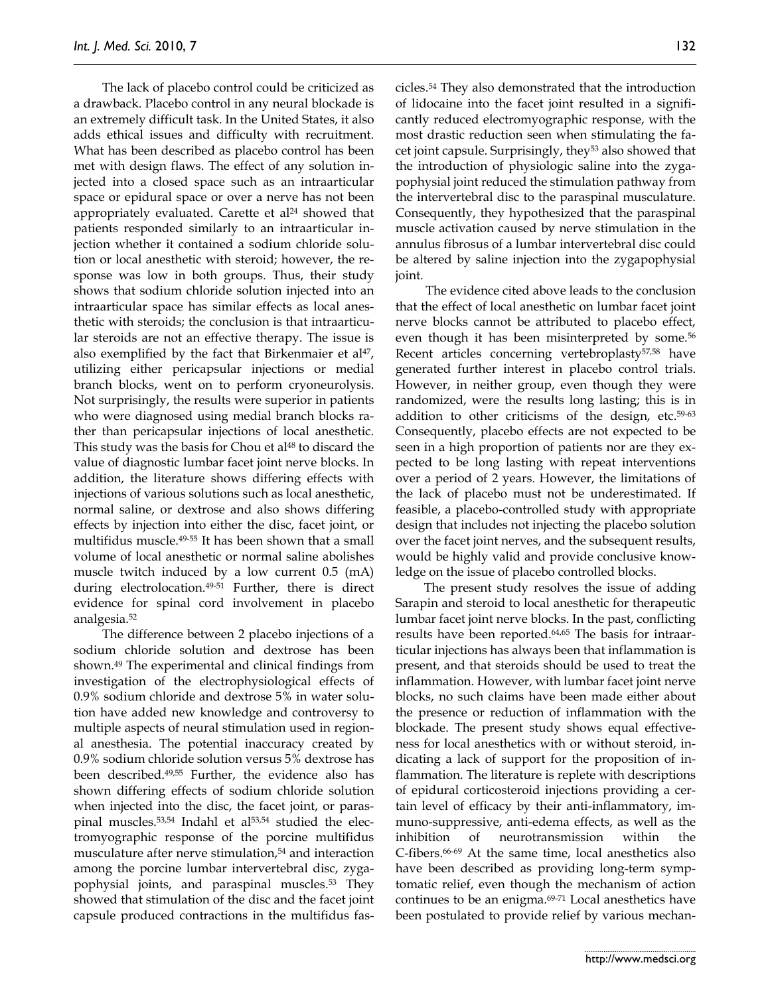The lack of placebo control could be criticized as a drawback. Placebo control in any neural blockade is an extremely difficult task. In the United States, it also adds ethical issues and difficulty with recruitment. What has been described as placebo control has been met with design flaws. The effect of any solution injected into a closed space such as an intraarticular space or epidural space or over a nerve has not been appropriately evaluated. Carette et al<sup>24</sup> showed that patients responded similarly to an intraarticular injection whether it contained a sodium chloride solution or local anesthetic with steroid; however, the response was low in both groups. Thus, their study shows that sodium chloride solution injected into an intraarticular space has similar effects as local anesthetic with steroids; the conclusion is that intraarticular steroids are not an effective therapy. The issue is also exemplified by the fact that Birkenmaier et al<sup>47</sup>, utilizing either pericapsular injections or medial branch blocks, went on to perform cryoneurolysis. Not surprisingly, the results were superior in patients who were diagnosed using medial branch blocks rather than pericapsular injections of local anesthetic. This study was the basis for Chou et al<sup>48</sup> to discard the value of diagnostic lumbar facet joint nerve blocks. In addition, the literature shows differing effects with injections of various solutions such as local anesthetic, normal saline, or dextrose and also shows differing effects by injection into either the disc, facet joint, or multifidus muscle.49-55 It has been shown that a small volume of local anesthetic or normal saline abolishes muscle twitch induced by a low current 0.5 (mA) during electrolocation.49-51 Further, there is direct evidence for spinal cord involvement in placebo analgesia.52

The difference between 2 placebo injections of a sodium chloride solution and dextrose has been shown.49 The experimental and clinical findings from investigation of the electrophysiological effects of 0.9% sodium chloride and dextrose 5% in water solution have added new knowledge and controversy to multiple aspects of neural stimulation used in regional anesthesia. The potential inaccuracy created by 0.9% sodium chloride solution versus 5% dextrose has been described.49,55 Further, the evidence also has shown differing effects of sodium chloride solution when injected into the disc, the facet joint, or paraspinal muscles.53,54 Indahl et al53,54 studied the electromyographic response of the porcine multifidus musculature after nerve stimulation,54 and interaction among the porcine lumbar intervertebral disc, zygapophysial joints, and paraspinal muscles.53 They showed that stimulation of the disc and the facet joint capsule produced contractions in the multifidus fascicles.54 They also demonstrated that the introduction of lidocaine into the facet joint resulted in a significantly reduced electromyographic response, with the most drastic reduction seen when stimulating the facet joint capsule. Surprisingly, they<sup>53</sup> also showed that the introduction of physiologic saline into the zygapophysial joint reduced the stimulation pathway from the intervertebral disc to the paraspinal musculature. Consequently, they hypothesized that the paraspinal muscle activation caused by nerve stimulation in the annulus fibrosus of a lumbar intervertebral disc could be altered by saline injection into the zygapophysial joint.

 The evidence cited above leads to the conclusion that the effect of local anesthetic on lumbar facet joint nerve blocks cannot be attributed to placebo effect, even though it has been misinterpreted by some.<sup>56</sup> Recent articles concerning vertebroplasty<sup>57,58</sup> have generated further interest in placebo control trials. However, in neither group, even though they were randomized, were the results long lasting; this is in addition to other criticisms of the design, etc.59-63 Consequently, placebo effects are not expected to be seen in a high proportion of patients nor are they expected to be long lasting with repeat interventions over a period of 2 years. However, the limitations of the lack of placebo must not be underestimated. If feasible, a placebo-controlled study with appropriate design that includes not injecting the placebo solution over the facet joint nerves, and the subsequent results, would be highly valid and provide conclusive knowledge on the issue of placebo controlled blocks.

The present study resolves the issue of adding Sarapin and steroid to local anesthetic for therapeutic lumbar facet joint nerve blocks. In the past, conflicting results have been reported.64,65 The basis for intraarticular injections has always been that inflammation is present, and that steroids should be used to treat the inflammation. However, with lumbar facet joint nerve blocks, no such claims have been made either about the presence or reduction of inflammation with the blockade. The present study shows equal effectiveness for local anesthetics with or without steroid, indicating a lack of support for the proposition of inflammation. The literature is replete with descriptions of epidural corticosteroid injections providing a certain level of efficacy by their anti-inflammatory, immuno-suppressive, anti-edema effects, as well as the inhibition of neurotransmission within the C-fibers.66-69 At the same time, local anesthetics also have been described as providing long-term symptomatic relief, even though the mechanism of action continues to be an enigma.<sup>69-71</sup> Local anesthetics have been postulated to provide relief by various mechan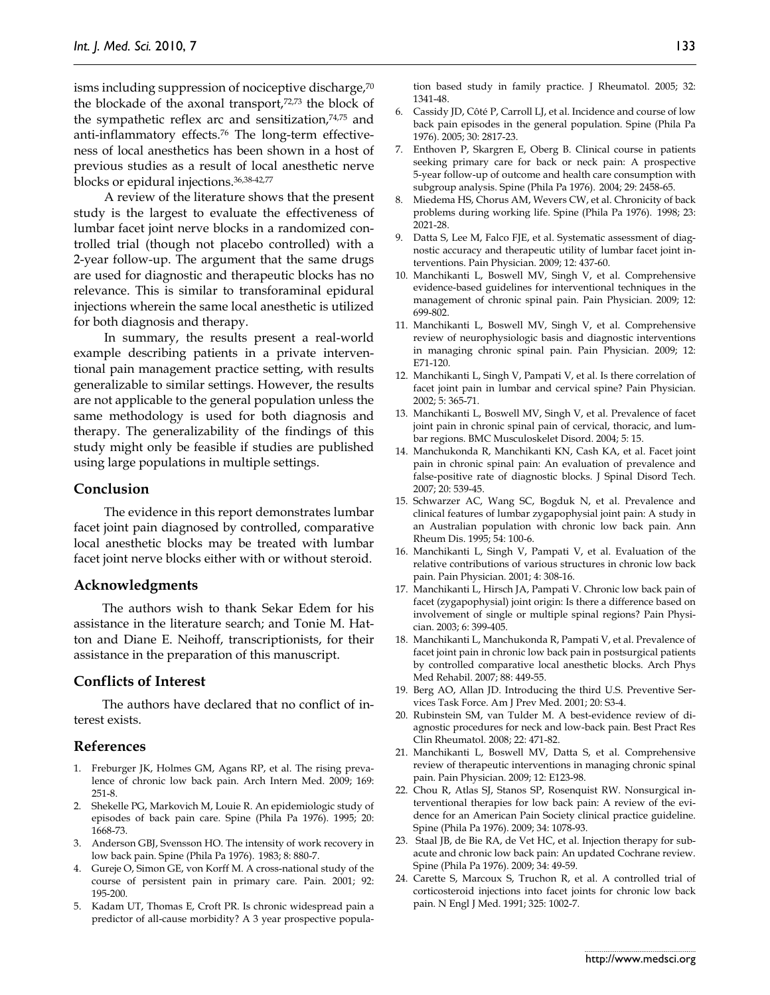isms including suppression of nociceptive discharge,<sup>70</sup> the blockade of the axonal transport,72,73 the block of the sympathetic reflex arc and sensitization,74,75 and anti-inflammatory effects.76 The long-term effectiveness of local anesthetics has been shown in a host of previous studies as a result of local anesthetic nerve blocks or epidural injections.36,38-42,77

 A review of the literature shows that the present study is the largest to evaluate the effectiveness of lumbar facet joint nerve blocks in a randomized controlled trial (though not placebo controlled) with a 2-year follow-up. The argument that the same drugs are used for diagnostic and therapeutic blocks has no relevance. This is similar to transforaminal epidural injections wherein the same local anesthetic is utilized for both diagnosis and therapy.

 In summary, the results present a real-world example describing patients in a private interventional pain management practice setting, with results generalizable to similar settings. However, the results are not applicable to the general population unless the same methodology is used for both diagnosis and therapy. The generalizability of the findings of this study might only be feasible if studies are published using large populations in multiple settings.

# **Conclusion**

 The evidence in this report demonstrates lumbar facet joint pain diagnosed by controlled, comparative local anesthetic blocks may be treated with lumbar facet joint nerve blocks either with or without steroid.

## **Acknowledgments**

The authors wish to thank Sekar Edem for his assistance in the literature search; and Tonie M. Hatton and Diane E. Neihoff, transcriptionists, for their assistance in the preparation of this manuscript.

## **Conflicts of Interest**

The authors have declared that no conflict of interest exists.

## **References**

- 1. Freburger JK, Holmes GM, Agans RP, et al. The rising prevalence of chronic low back pain. Arch Intern Med. 2009; 169: 251-8.
- 2. Shekelle PG, Markovich M, Louie R. An epidemiologic study of episodes of back pain care. Spine (Phila Pa 1976). 1995; 20: 1668-73.
- 3. Anderson GBJ, Svensson HO. The intensity of work recovery in low back pain. Spine (Phila Pa 1976). 1983; 8: 880-7.
- 4. Gureje O, Simon GE, von Korff M. A cross-national study of the course of persistent pain in primary care. Pain. 2001; 92: 195-200.
- 5. Kadam UT, Thomas E, Croft PR. Is chronic widespread pain a predictor of all-cause morbidity? A 3 year prospective popula-

tion based study in family practice. J Rheumatol. 2005; 32: 1341-48.

- 6. Cassidy JD, Côté P, Carroll LJ, et al. Incidence and course of low back pain episodes in the general population. Spine (Phila Pa 1976). 2005; 30: 2817-23.
- 7. Enthoven P, Skargren E, Oberg B. Clinical course in patients seeking primary care for back or neck pain: A prospective 5-year follow-up of outcome and health care consumption with subgroup analysis. Spine (Phila Pa 1976). 2004; 29: 2458-65.
- 8. Miedema HS, Chorus AM, Wevers CW, et al. Chronicity of back problems during working life. Spine (Phila Pa 1976). 1998; 23: 2021-28.
- 9. Datta S, Lee M, Falco FJE, et al. Systematic assessment of diagnostic accuracy and therapeutic utility of lumbar facet joint interventions. Pain Physician. 2009; 12: 437-60.
- 10. Manchikanti L, Boswell MV, Singh V, et al. Comprehensive evidence-based guidelines for interventional techniques in the management of chronic spinal pain. Pain Physician. 2009; 12: 699-802.
- 11. Manchikanti L, Boswell MV, Singh V, et al. Comprehensive review of neurophysiologic basis and diagnostic interventions in managing chronic spinal pain. Pain Physician. 2009; 12: E71-120.
- 12. Manchikanti L, Singh V, Pampati V, et al. Is there correlation of facet joint pain in lumbar and cervical spine? Pain Physician. 2002; 5: 365-71.
- 13. Manchikanti L, Boswell MV, Singh V, et al. Prevalence of facet joint pain in chronic spinal pain of cervical, thoracic, and lumbar regions. BMC Musculoskelet Disord. 2004; 5: 15.
- 14. Manchukonda R, Manchikanti KN, Cash KA, et al. Facet joint pain in chronic spinal pain: An evaluation of prevalence and false-positive rate of diagnostic blocks. J Spinal Disord Tech. 2007; 20: 539-45.
- 15. Schwarzer AC, Wang SC, Bogduk N, et al. Prevalence and clinical features of lumbar zygapophysial joint pain: A study in an Australian population with chronic low back pain. Ann Rheum Dis. 1995; 54: 100-6.
- 16. Manchikanti L, Singh V, Pampati V, et al. Evaluation of the relative contributions of various structures in chronic low back pain. Pain Physician. 2001; 4: 308-16.
- 17. Manchikanti L, Hirsch JA, Pampati V. Chronic low back pain of facet (zygapophysial) joint origin: Is there a difference based on involvement of single or multiple spinal regions? Pain Physician. 2003; 6: 399-405.
- 18. Manchikanti L, Manchukonda R, Pampati V, et al. Prevalence of facet joint pain in chronic low back pain in postsurgical patients by controlled comparative local anesthetic blocks. Arch Phys Med Rehabil. 2007; 88: 449-55.
- 19. Berg AO, Allan JD. Introducing the third U.S. Preventive Services Task Force. Am J Prev Med. 2001; 20: S3-4.
- 20. Rubinstein SM, van Tulder M. A best-evidence review of diagnostic procedures for neck and low-back pain. Best Pract Res Clin Rheumatol. 2008; 22: 471-82.
- 21. Manchikanti L, Boswell MV, Datta S, et al. Comprehensive review of therapeutic interventions in managing chronic spinal pain. Pain Physician. 2009; 12: E123-98.
- 22. Chou R, Atlas SJ, Stanos SP, Rosenquist RW. Nonsurgical interventional therapies for low back pain: A review of the evidence for an American Pain Society clinical practice guideline. Spine (Phila Pa 1976). 2009; 34: 1078-93.
- 23. Staal JB, de Bie RA, de Vet HC, et al. Injection therapy for subacute and chronic low back pain: An updated Cochrane review. Spine (Phila Pa 1976). 2009; 34: 49-59.
- 24. Carette S, Marcoux S, Truchon R, et al. A controlled trial of corticosteroid injections into facet joints for chronic low back pain. N Engl J Med. 1991; 325: 1002-7.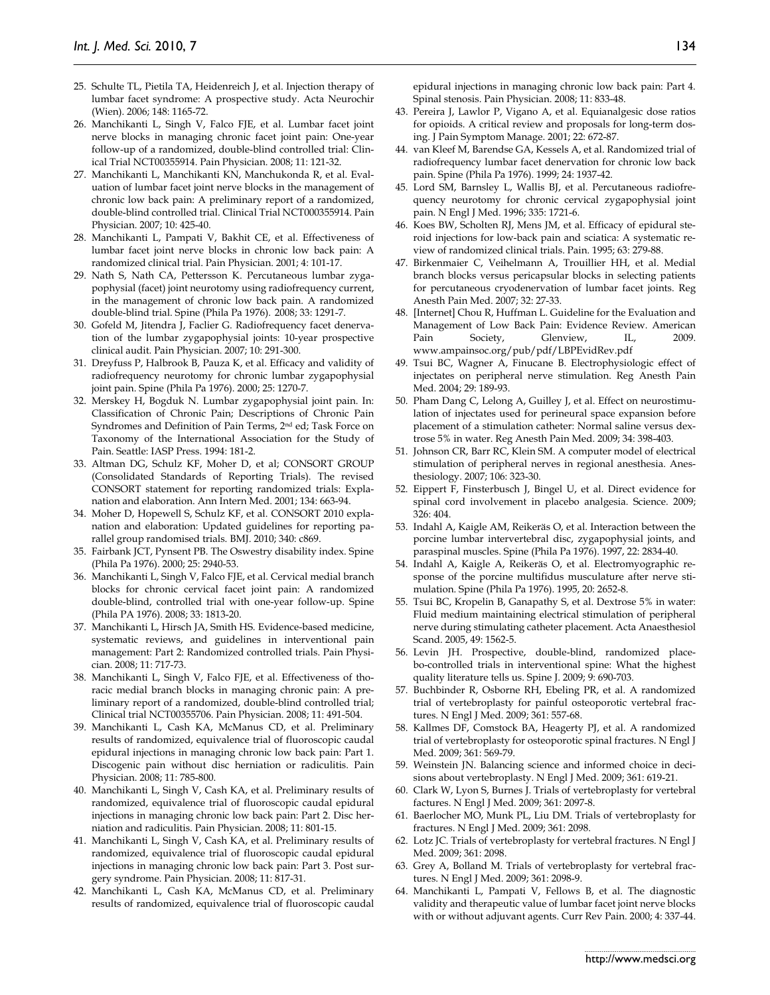- 25. Schulte TL, Pietila TA, Heidenreich J, et al. Injection therapy of lumbar facet syndrome: A prospective study. Acta Neurochir (Wien). 2006; 148: 1165-72.
- 26. Manchikanti L, Singh V, Falco FJE, et al. Lumbar facet joint nerve blocks in managing chronic facet joint pain: One-year follow-up of a randomized, double-blind controlled trial: Clinical Trial NCT00355914. Pain Physician. 2008; 11: 121-32.
- 27. Manchikanti L, Manchikanti KN, Manchukonda R, et al. Evaluation of lumbar facet joint nerve blocks in the management of chronic low back pain: A preliminary report of a randomized, double-blind controlled trial. Clinical Trial NCT000355914. Pain Physician. 2007; 10: 425-40.
- 28. Manchikanti L, Pampati V, Bakhit CE, et al. Effectiveness of lumbar facet joint nerve blocks in chronic low back pain: A randomized clinical trial. Pain Physician. 2001; 4: 101-17.
- 29. Nath S, Nath CA, Pettersson K. Percutaneous lumbar zygapophysial (facet) joint neurotomy using radiofrequency current, in the management of chronic low back pain. A randomized double-blind trial. Spine (Phila Pa 1976). 2008; 33: 1291-7.
- 30. Gofeld M, Jitendra J, Faclier G. Radiofrequency facet denervation of the lumbar zygapophysial joints: 10-year prospective clinical audit. Pain Physician. 2007; 10: 291-300.
- 31. Dreyfuss P, Halbrook B, Pauza K, et al. Efficacy and validity of radiofrequency neurotomy for chronic lumbar zygapophysial joint pain. Spine (Phila Pa 1976). 2000; 25: 1270-7.
- 32. Merskey H, Bogduk N. Lumbar zygapophysial joint pain. In: Classification of Chronic Pain; Descriptions of Chronic Pain Syndromes and Definition of Pain Terms, 2nd ed; Task Force on Taxonomy of the International Association for the Study of Pain. Seattle: IASP Press. 1994: 181-2.
- 33. Altman DG, Schulz KF, Moher D, et al; CONSORT GROUP (Consolidated Standards of Reporting Trials). The revised CONSORT statement for reporting randomized trials: Explanation and elaboration. Ann Intern Med. 2001; 134: 663-94.
- 34. Moher D, Hopewell S, Schulz KF, et al. CONSORT 2010 explanation and elaboration: Updated guidelines for reporting parallel group randomised trials. BMJ. 2010; 340: c869.
- 35. Fairbank JCT, Pynsent PB. The Oswestry disability index. Spine (Phila Pa 1976). 2000; 25: 2940-53.
- 36. Manchikanti L, Singh V, Falco FJE, et al. Cervical medial branch blocks for chronic cervical facet joint pain: A randomized double-blind, controlled trial with one-year follow-up. Spine (Phila PA 1976). 2008; 33: 1813-20.
- 37. Manchikanti L, Hirsch JA, Smith HS. Evidence-based medicine, systematic reviews, and guidelines in interventional pain management: Part 2: Randomized controlled trials. Pain Physician. 2008; 11: 717-73.
- 38. Manchikanti L, Singh V, Falco FJE, et al. Effectiveness of thoracic medial branch blocks in managing chronic pain: A preliminary report of a randomized, double-blind controlled trial; Clinical trial NCT00355706. Pain Physician. 2008; 11: 491-504.
- 39. Manchikanti L, Cash KA, McManus CD, et al. Preliminary results of randomized, equivalence trial of fluoroscopic caudal epidural injections in managing chronic low back pain: Part 1. Discogenic pain without disc herniation or radiculitis. Pain Physician. 2008; 11: 785-800.
- 40. Manchikanti L, Singh V, Cash KA, et al. Preliminary results of randomized, equivalence trial of fluoroscopic caudal epidural injections in managing chronic low back pain: Part 2. Disc herniation and radiculitis. Pain Physician. 2008; 11: 801-15.
- 41. Manchikanti L, Singh V, Cash KA, et al. Preliminary results of randomized, equivalence trial of fluoroscopic caudal epidural injections in managing chronic low back pain: Part 3. Post surgery syndrome. Pain Physician. 2008; 11: 817-31.
- 42. Manchikanti L, Cash KA, McManus CD, et al. Preliminary results of randomized, equivalence trial of fluoroscopic caudal

epidural injections in managing chronic low back pain: Part 4. Spinal stenosis. Pain Physician. 2008; 11: 833-48.

- 43. Pereira J, Lawlor P, Vigano A, et al. Equianalgesic dose ratios for opioids. A critical review and proposals for long-term dosing. J Pain Symptom Manage. 2001; 22: 672-87.
- 44. van Kleef M, Barendse GA, Kessels A, et al. Randomized trial of radiofrequency lumbar facet denervation for chronic low back pain. Spine (Phila Pa 1976). 1999; 24: 1937-42.
- 45. Lord SM, Barnsley L, Wallis BJ, et al. Percutaneous radiofrequency neurotomy for chronic cervical zygapophysial joint pain. N Engl J Med. 1996; 335: 1721-6.
- 46. Koes BW, Scholten RJ, Mens JM, et al. Efficacy of epidural steroid injections for low-back pain and sciatica: A systematic review of randomized clinical trials. Pain. 1995; 63: 279-88.
- 47. Birkenmaier C, Veihelmann A, Trouillier HH, et al. Medial branch blocks versus pericapsular blocks in selecting patients for percutaneous cryodenervation of lumbar facet joints. Reg Anesth Pain Med. 2007; 32: 27-33.
- 48. [Internet] Chou R, Huffman L. Guideline for the Evaluation and Management of Low Back Pain: Evidence Review. American Pain Society, Glenview, IL, 2009. www.ampainsoc.org/pub/pdf/LBPEvidRev.pdf
- 49. Tsui BC, Wagner A, Finucane B. Electrophysiologic effect of injectates on peripheral nerve stimulation. Reg Anesth Pain Med. 2004; 29: 189-93.
- 50. Pham Dang C, Lelong A, Guilley J, et al. Effect on neurostimulation of injectates used for perineural space expansion before placement of a stimulation catheter: Normal saline versus dextrose 5% in water. Reg Anesth Pain Med. 2009; 34: 398-403.
- 51. Johnson CR, Barr RC, Klein SM. A computer model of electrical stimulation of peripheral nerves in regional anesthesia. Anesthesiology. 2007; 106: 323-30.
- 52. Eippert F, Finsterbusch J, Bingel U, et al. Direct evidence for spinal cord involvement in placebo analgesia. Science. 2009; 326: 404.
- 53. Indahl A, Kaigle AM, Reikeräs O, et al. Interaction between the porcine lumbar intervertebral disc, zygapophysial joints, and paraspinal muscles. Spine (Phila Pa 1976). 1997, 22: 2834-40.
- 54. Indahl A, Kaigle A, Reikeräs O, et al. Electromyographic response of the porcine multifidus musculature after nerve stimulation. Spine (Phila Pa 1976). 1995, 20: 2652-8.
- 55. Tsui BC, Kropelin B, Ganapathy S, et al. Dextrose 5% in water: Fluid medium maintaining electrical stimulation of peripheral nerve during stimulating catheter placement. Acta Anaesthesiol Scand. 2005, 49: 1562-5.
- 56. Levin JH. Prospective, double-blind, randomized placebo-controlled trials in interventional spine: What the highest quality literature tells us. Spine J. 2009; 9: 690-703.
- 57. Buchbinder R, Osborne RH, Ebeling PR, et al. A randomized trial of vertebroplasty for painful osteoporotic vertebral fractures. N Engl J Med. 2009; 361: 557-68.
- 58. Kallmes DF, Comstock BA, Heagerty PJ, et al. A randomized trial of vertebroplasty for osteoporotic spinal fractures. N Engl J Med. 2009; 361: 569-79.
- 59. Weinstein JN. Balancing science and informed choice in decisions about vertebroplasty. N Engl J Med. 2009; 361: 619-21.
- 60. Clark W, Lyon S, Burnes J. Trials of vertebroplasty for vertebral factures. N Engl J Med. 2009; 361: 2097-8.
- 61. Baerlocher MO, Munk PL, Liu DM. Trials of vertebroplasty for fractures. N Engl J Med. 2009; 361: 2098.
- 62. Lotz JC. Trials of vertebroplasty for vertebral fractures. N Engl J Med. 2009; 361: 2098.
- 63. Grey A, Bolland M. Trials of vertebroplasty for vertebral fractures. N Engl J Med. 2009; 361: 2098-9.
- 64. Manchikanti L, Pampati V, Fellows B, et al. The diagnostic validity and therapeutic value of lumbar facet joint nerve blocks with or without adjuvant agents. Curr Rev Pain. 2000; 4: 337-44.